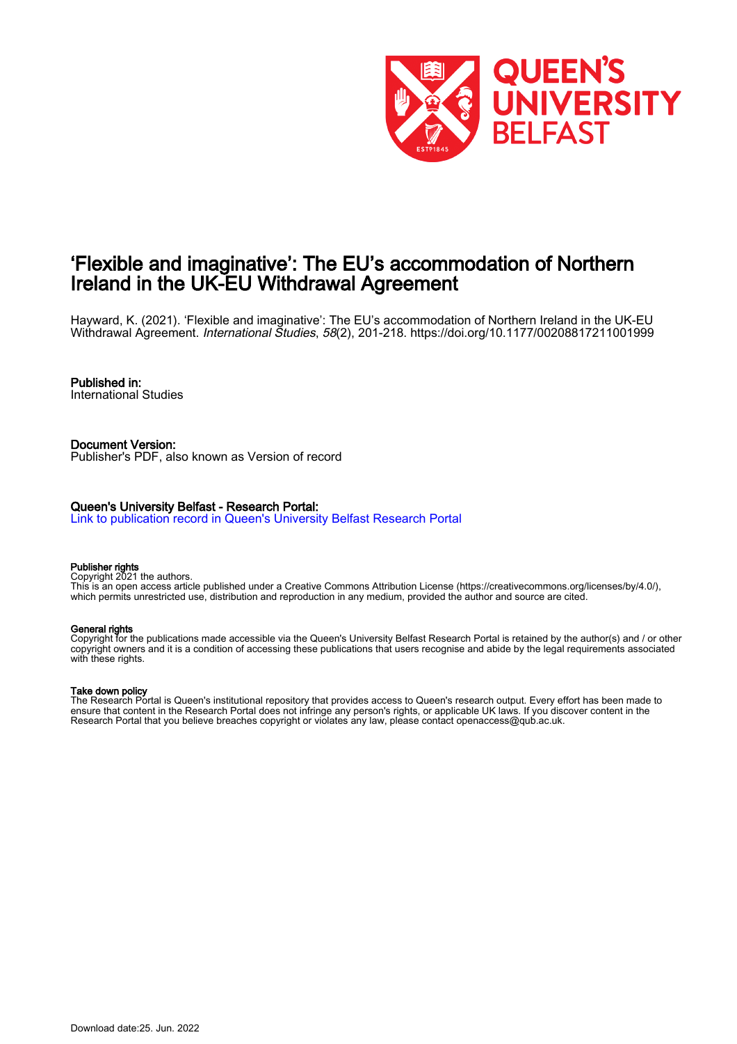

# 'Flexible and imaginative': The EU's accommodation of Northern Ireland in the UK-EU Withdrawal Agreement

Hayward, K. (2021). 'Flexible and imaginative': The EU's accommodation of Northern Ireland in the UK-EU Withdrawal Agreement. International Studies, 58(2), 201-218.<https://doi.org/10.1177/00208817211001999>

### Published in:

International Studies

Document Version: Publisher's PDF, also known as Version of record

#### Queen's University Belfast - Research Portal:

[Link to publication record in Queen's University Belfast Research Portal](https://pure.qub.ac.uk/en/publications/7d2d7587-d261-45e6-baef-b364d89a2387)

#### Publisher rights

Copyright 2021 the authors.

This is an open access article published under a Creative Commons Attribution License (https://creativecommons.org/licenses/by/4.0/), which permits unrestricted use, distribution and reproduction in any medium, provided the author and source are cited.

#### General rights

Copyright for the publications made accessible via the Queen's University Belfast Research Portal is retained by the author(s) and / or other copyright owners and it is a condition of accessing these publications that users recognise and abide by the legal requirements associated with these rights.

#### Take down policy

The Research Portal is Queen's institutional repository that provides access to Queen's research output. Every effort has been made to ensure that content in the Research Portal does not infringe any person's rights, or applicable UK laws. If you discover content in the Research Portal that you believe breaches copyright or violates any law, please contact openaccess@qub.ac.uk.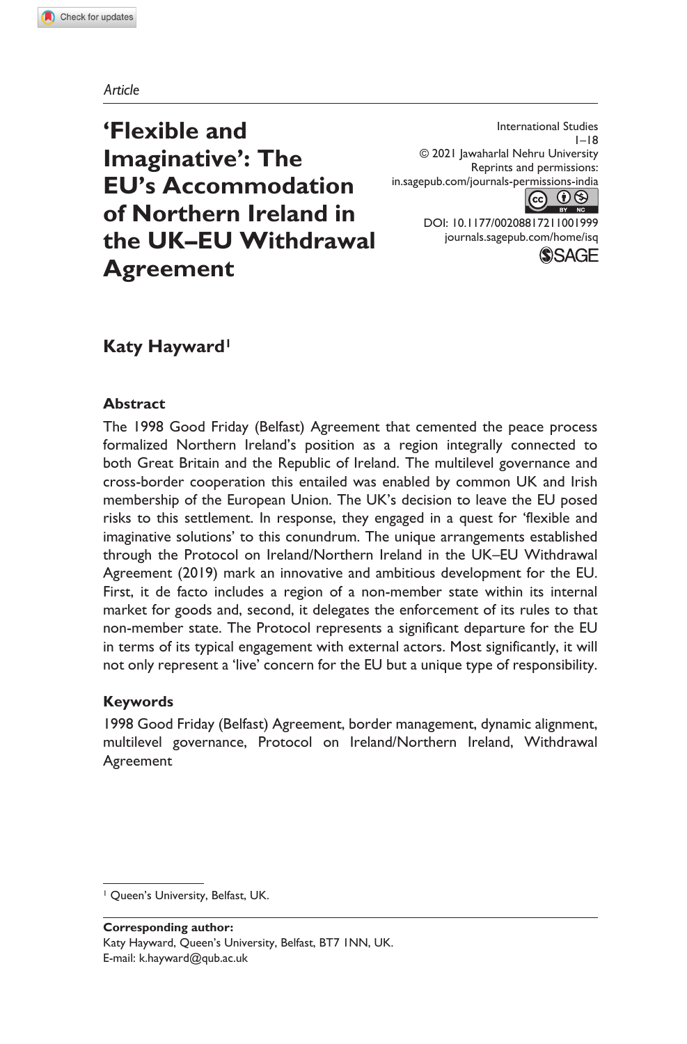#### *Article*

**'Flexible and Imaginative': The EU's Accommodation of Northern Ireland in the UK–EU Withdrawal Agreement**

in.sagepub.com/journals-permissions-india International Studies  $1 - 18$ © 2021 Jawaharlal Nehru University Reprints and permissions:



DOI: 10.1177/00208817211001999 journals.sagepub.com/home/isq



## **Katy Hayward<sup>1</sup>**

#### **Abstract**

The 1998 Good Friday (Belfast) Agreement that cemented the peace process formalized Northern Ireland's position as a region integrally connected to both Great Britain and the Republic of Ireland. The multilevel governance and cross-border cooperation this entailed was enabled by common UK and Irish membership of the European Union. The UK's decision to leave the EU posed risks to this settlement. In response, they engaged in a quest for 'flexible and imaginative solutions' to this conundrum. The unique arrangements established through the Protocol on Ireland/Northern Ireland in the UK–EU Withdrawal Agreement (2019) mark an innovative and ambitious development for the EU. First, it de facto includes a region of a non-member state within its internal market for goods and, second, it delegates the enforcement of its rules to that non-member state. The Protocol represents a significant departure for the EU in terms of its typical engagement with external actors. Most significantly, it will not only represent a 'live' concern for the EU but a unique type of responsibility.

#### **Keywords**

1998 Good Friday (Belfast) Agreement, border management, dynamic alignment, multilevel governance, Protocol on Ireland/Northern Ireland, Withdrawal Agreement

**Corresponding author:** Katy Hayward, Queen's University, Belfast, BT7 1NN, UK. E-mail: k.hayward@qub.ac.uk

<sup>1</sup> Queen's University, Belfast, UK.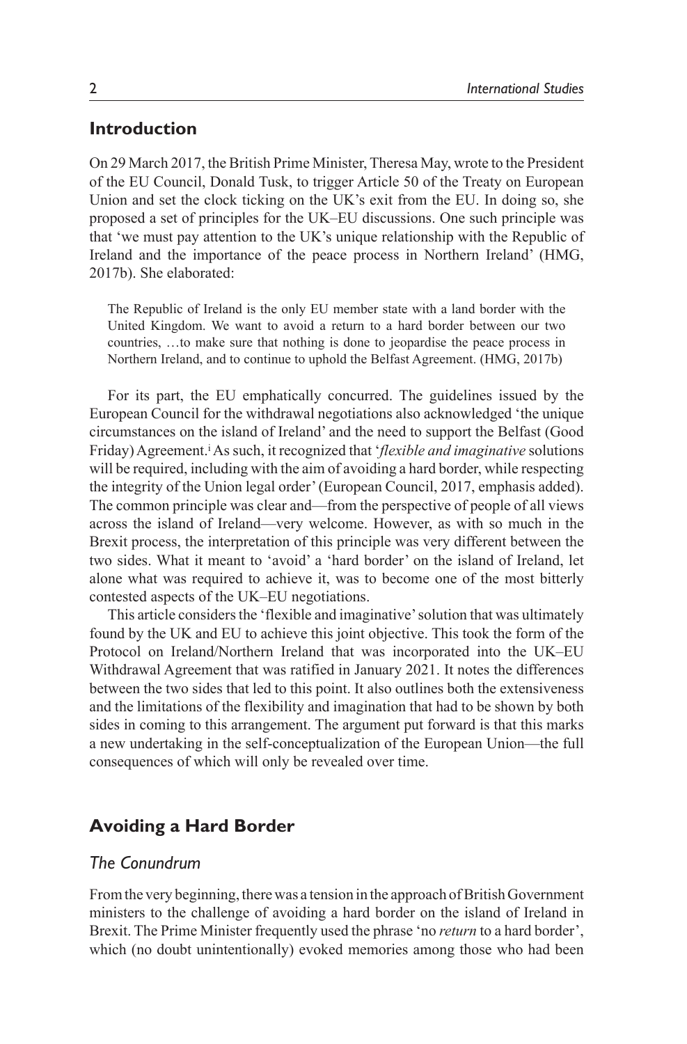### **Introduction**

On 29 March 2017, the British Prime Minister, Theresa May, wrote to the President of the EU Council, Donald Tusk, to trigger Article 50 of the Treaty on European Union and set the clock ticking on the UK's exit from the EU. In doing so, she proposed a set of principles for the UK–EU discussions. One such principle was that 'we must pay attention to the UK's unique relationship with the Republic of Ireland and the importance of the peace process in Northern Ireland' (HMG, 2017b). She elaborated:

The Republic of Ireland is the only EU member state with a land border with the United Kingdom. We want to avoid a return to a hard border between our two countries, …to make sure that nothing is done to jeopardise the peace process in Northern Ireland, and to continue to uphold the Belfast Agreement. (HMG, 2017b)

For its part, the EU emphatically concurred. The guidelines issued by the European Council for the withdrawal negotiations also acknowledged 'the unique circumstances on the island of Ireland' and the need to support the Belfast (Good Friday) Agreement.<sup>*i*</sup> As such, it recognized that '*flexible and imaginative* solutions will be required, including with the aim of avoiding a hard border, while respecting the integrity of the Union legal order' (European Council, 2017, emphasis added). The common principle was clear and—from the perspective of people of all views across the island of Ireland—very welcome. However, as with so much in the Brexit process, the interpretation of this principle was very different between the two sides. What it meant to 'avoid' a 'hard border' on the island of Ireland, let alone what was required to achieve it, was to become one of the most bitterly contested aspects of the UK–EU negotiations.

This article considers the 'flexible and imaginative' solution that was ultimately found by the UK and EU to achieve this joint objective. This took the form of the Protocol on Ireland/Northern Ireland that was incorporated into the UK–EU Withdrawal Agreement that was ratified in January 2021. It notes the differences between the two sides that led to this point. It also outlines both the extensiveness and the limitations of the flexibility and imagination that had to be shown by both sides in coming to this arrangement. The argument put forward is that this marks a new undertaking in the self-conceptualization of the European Union—the full consequences of which will only be revealed over time.

### **Avoiding a Hard Border**

### *The Conundrum*

From the very beginning, there was a tension in the approach of British Government ministers to the challenge of avoiding a hard border on the island of Ireland in Brexit. The Prime Minister frequently used the phrase 'no *return* to a hard border', which (no doubt unintentionally) evoked memories among those who had been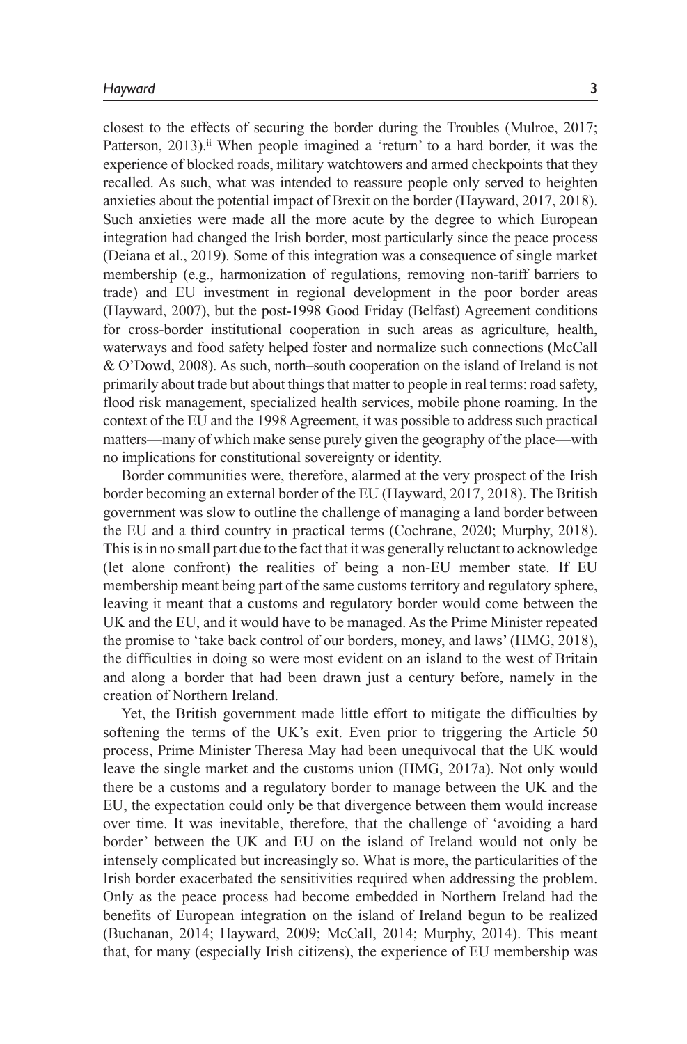closest to the effects of securing the border during the Troubles (Mulroe, 2017; Patterson, 2013).<sup>ii</sup> When people imagined a 'return' to a hard border, it was the experience of blocked roads, military watchtowers and armed checkpoints that they recalled. As such, what was intended to reassure people only served to heighten anxieties about the potential impact of Brexit on the border (Hayward, 2017, 2018). Such anxieties were made all the more acute by the degree to which European integration had changed the Irish border, most particularly since the peace process (Deiana et al., 2019). Some of this integration was a consequence of single market membership (e.g., harmonization of regulations, removing non-tariff barriers to trade) and EU investment in regional development in the poor border areas (Hayward, 2007), but the post-1998 Good Friday (Belfast) Agreement conditions for cross-border institutional cooperation in such areas as agriculture, health, waterways and food safety helped foster and normalize such connections (McCall & O'Dowd, 2008). As such, north–south cooperation on the island of Ireland is not primarily about trade but about things that matter to people in real terms: road safety, flood risk management, specialized health services, mobile phone roaming. In the context of the EU and the 1998 Agreement, it was possible to address such practical matters—many of which make sense purely given the geography of the place—with no implications for constitutional sovereignty or identity.

Border communities were, therefore, alarmed at the very prospect of the Irish border becoming an external border of the EU (Hayward, 2017, 2018). The British government was slow to outline the challenge of managing a land border between the EU and a third country in practical terms (Cochrane, 2020; Murphy, 2018). This is in no small part due to the fact that it was generally reluctant to acknowledge (let alone confront) the realities of being a non-EU member state. If EU membership meant being part of the same customs territory and regulatory sphere, leaving it meant that a customs and regulatory border would come between the UK and the EU, and it would have to be managed. As the Prime Minister repeated the promise to 'take back control of our borders, money, and laws' (HMG, 2018), the difficulties in doing so were most evident on an island to the west of Britain and along a border that had been drawn just a century before, namely in the creation of Northern Ireland.

Yet, the British government made little effort to mitigate the difficulties by softening the terms of the UK's exit. Even prior to triggering the Article 50 process, Prime Minister Theresa May had been unequivocal that the UK would leave the single market and the customs union (HMG, 2017a). Not only would there be a customs and a regulatory border to manage between the UK and the EU, the expectation could only be that divergence between them would increase over time. It was inevitable, therefore, that the challenge of 'avoiding a hard border' between the UK and EU on the island of Ireland would not only be intensely complicated but increasingly so. What is more, the particularities of the Irish border exacerbated the sensitivities required when addressing the problem. Only as the peace process had become embedded in Northern Ireland had the benefits of European integration on the island of Ireland begun to be realized (Buchanan, 2014; Hayward, 2009; McCall, 2014; Murphy, 2014). This meant that, for many (especially Irish citizens), the experience of EU membership was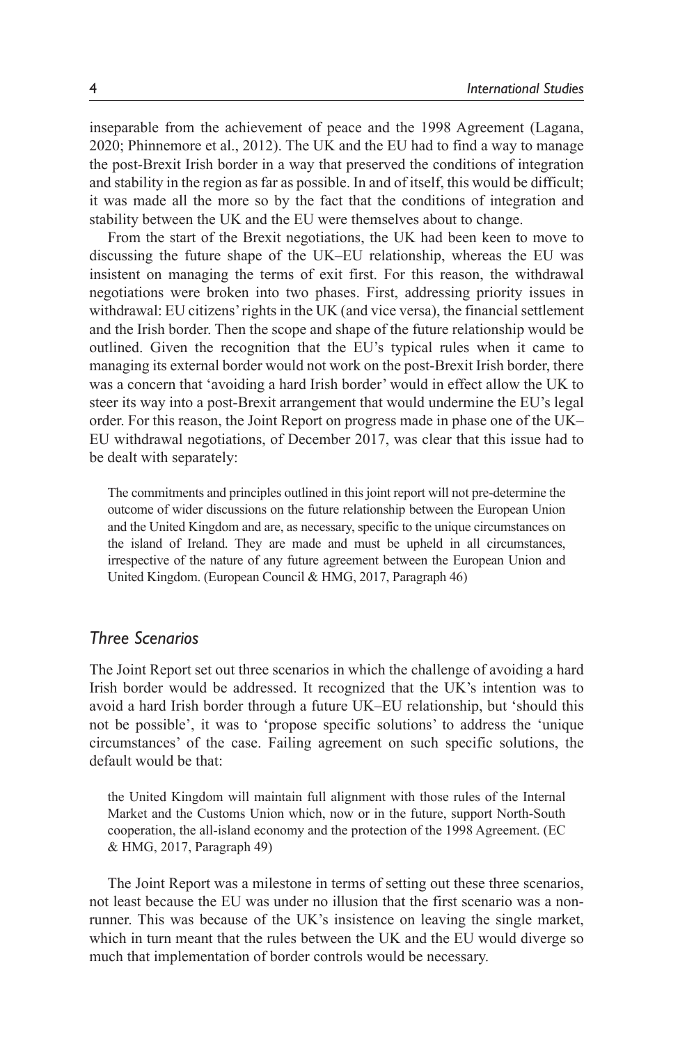inseparable from the achievement of peace and the 1998 Agreement (Lagana, 2020; Phinnemore et al., 2012). The UK and the EU had to find a way to manage the post-Brexit Irish border in a way that preserved the conditions of integration and stability in the region as far as possible. In and of itself, this would be difficult; it was made all the more so by the fact that the conditions of integration and stability between the UK and the EU were themselves about to change.

From the start of the Brexit negotiations, the UK had been keen to move to discussing the future shape of the UK–EU relationship, whereas the EU was insistent on managing the terms of exit first. For this reason, the withdrawal negotiations were broken into two phases. First, addressing priority issues in withdrawal: EU citizens' rights in the UK (and vice versa), the financial settlement and the Irish border. Then the scope and shape of the future relationship would be outlined. Given the recognition that the EU's typical rules when it came to managing its external border would not work on the post-Brexit Irish border, there was a concern that 'avoiding a hard Irish border' would in effect allow the UK to steer its way into a post-Brexit arrangement that would undermine the EU's legal order. For this reason, the Joint Report on progress made in phase one of the UK– EU withdrawal negotiations, of December 2017, was clear that this issue had to be dealt with separately:

The commitments and principles outlined in this joint report will not pre-determine the outcome of wider discussions on the future relationship between the European Union and the United Kingdom and are, as necessary, specific to the unique circumstances on the island of Ireland. They are made and must be upheld in all circumstances, irrespective of the nature of any future agreement between the European Union and United Kingdom. (European Council & HMG, 2017, Paragraph 46)

### *Three Scenarios*

The Joint Report set out three scenarios in which the challenge of avoiding a hard Irish border would be addressed. It recognized that the UK's intention was to avoid a hard Irish border through a future UK–EU relationship, but 'should this not be possible', it was to 'propose specific solutions' to address the 'unique circumstances' of the case. Failing agreement on such specific solutions, the default would be that:

the United Kingdom will maintain full alignment with those rules of the Internal Market and the Customs Union which, now or in the future, support North-South cooperation, the all-island economy and the protection of the 1998 Agreement. (EC & HMG, 2017, Paragraph 49)

The Joint Report was a milestone in terms of setting out these three scenarios, not least because the EU was under no illusion that the first scenario was a nonrunner. This was because of the UK's insistence on leaving the single market, which in turn meant that the rules between the UK and the EU would diverge so much that implementation of border controls would be necessary.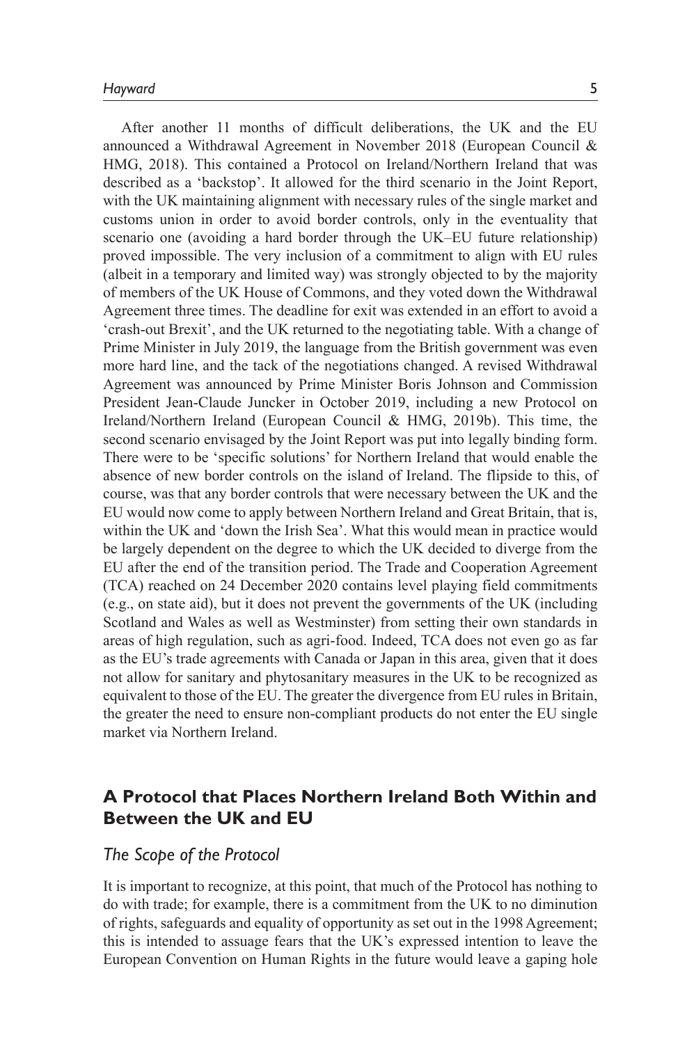After another 11 months of difficult deliberations, the UK and the EU announced a Withdrawal Agreement in November 2018 (European Council & HMG, 2018). This contained a Protocol on Ireland/Northern Ireland that was described as a 'backstop'. It allowed for the third scenario in the Joint Report, with the UK maintaining alignment with necessary rules of the single market and customs union in order to avoid border controls, only in the eventuality that scenario one (avoiding a hard border through the UK–EU future relationship) proved impossible. The very inclusion of a commitment to align with EU rules (albeit in a temporary and limited way) was strongly objected to by the majority of members of the UK House of Commons, and they voted down the Withdrawal Agreement three times. The deadline for exit was extended in an effort to avoid a 'crash-out Brexit', and the UK returned to the negotiating table. With a change of Prime Minister in July 2019, the language from the British government was even more hard line, and the tack of the negotiations changed. A revised Withdrawal Agreement was announced by Prime Minister Boris Johnson and Commission President Jean-Claude Juncker in October 2019, including a new Protocol on Ireland/Northern Ireland (European Council & HMG, 2019b). This time, the second scenario envisaged by the Joint Report was put into legally binding form. There were to be 'specific solutions' for Northern Ireland that would enable the absence of new border controls on the island of Ireland. The flipside to this, of course, was that any border controls that were necessary between the UK and the EU would now come to apply between Northern Ireland and Great Britain, that is, within the UK and 'down the Irish Sea'. What this would mean in practice would be largely dependent on the degree to which the UK decided to diverge from the EU after the end of the transition period. The Trade and Cooperation Agreement (TCA) reached on 24 December 2020 contains level playing field commitments (e.g., on state aid), but it does not prevent the governments of the UK (including Scotland and Wales as well as Westminster) from setting their own standards in areas of high regulation, such as agri-food. Indeed, TCA does not even go as far as the EU's trade agreements with Canada or Japan in this area, given that it does not allow for sanitary and phytosanitary measures in the UK to be recognized as equivalent to those of the EU. The greater the divergence from EU rules in Britain, the greater the need to ensure non-compliant products do not enter the EU single market via Northern Ireland.

# **A Protocol that Places Northern Ireland Both Within and Between the UK and EU**

### *The Scope of the Protocol*

It is important to recognize, at this point, that much of the Protocol has nothing to do with trade; for example, there is a commitment from the UK to no diminution of rights, safeguards and equality of opportunity as set out in the 1998 Agreement; this is intended to assuage fears that the UK's expressed intention to leave the European Convention on Human Rights in the future would leave a gaping hole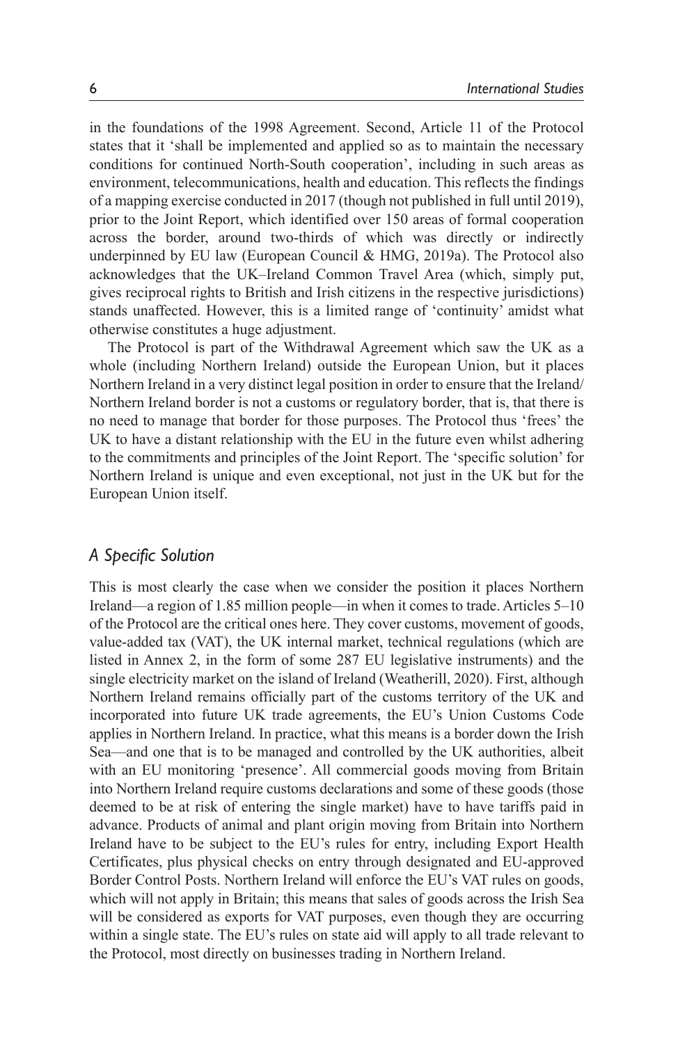in the foundations of the 1998 Agreement. Second, Article 11 of the Protocol states that it 'shall be implemented and applied so as to maintain the necessary conditions for continued North-South cooperation', including in such areas as environment, telecommunications, health and education. This reflects the findings of a mapping exercise conducted in 2017 (though not published in full until 2019), prior to the Joint Report, which identified over 150 areas of formal cooperation across the border, around two-thirds of which was directly or indirectly underpinned by EU law (European Council  $\&$  HMG, 2019a). The Protocol also acknowledges that the UK–Ireland Common Travel Area (which, simply put, gives reciprocal rights to British and Irish citizens in the respective jurisdictions) stands unaffected. However, this is a limited range of 'continuity' amidst what otherwise constitutes a huge adjustment.

The Protocol is part of the Withdrawal Agreement which saw the UK as a whole (including Northern Ireland) outside the European Union, but it places Northern Ireland in a very distinct legal position in order to ensure that the Ireland/ Northern Ireland border is not a customs or regulatory border, that is, that there is no need to manage that border for those purposes. The Protocol thus 'frees' the UK to have a distant relationship with the EU in the future even whilst adhering to the commitments and principles of the Joint Report. The 'specific solution' for Northern Ireland is unique and even exceptional, not just in the UK but for the European Union itself.

#### *A Specific Solution*

This is most clearly the case when we consider the position it places Northern Ireland—a region of 1.85 million people—in when it comes to trade. Articles 5–10 of the Protocol are the critical ones here. They cover customs, movement of goods, value-added tax (VAT), the UK internal market, technical regulations (which are listed in Annex 2, in the form of some 287 EU legislative instruments) and the single electricity market on the island of Ireland (Weatherill, 2020). First, although Northern Ireland remains officially part of the customs territory of the UK and incorporated into future UK trade agreements, the EU's Union Customs Code applies in Northern Ireland. In practice, what this means is a border down the Irish Sea—and one that is to be managed and controlled by the UK authorities, albeit with an EU monitoring 'presence'. All commercial goods moving from Britain into Northern Ireland require customs declarations and some of these goods (those deemed to be at risk of entering the single market) have to have tariffs paid in advance. Products of animal and plant origin moving from Britain into Northern Ireland have to be subject to the EU's rules for entry, including Export Health Certificates, plus physical checks on entry through designated and EU-approved Border Control Posts. Northern Ireland will enforce the EU's VAT rules on goods, which will not apply in Britain; this means that sales of goods across the Irish Sea will be considered as exports for VAT purposes, even though they are occurring within a single state. The EU's rules on state aid will apply to all trade relevant to the Protocol, most directly on businesses trading in Northern Ireland.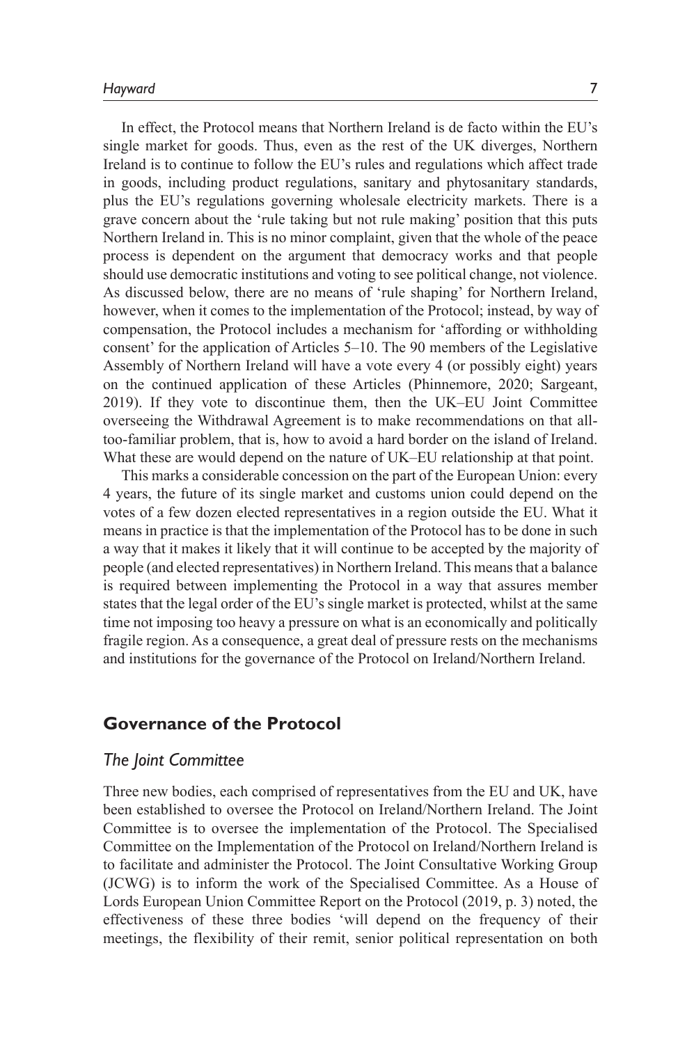In effect, the Protocol means that Northern Ireland is de facto within the EU's single market for goods. Thus, even as the rest of the UK diverges, Northern Ireland is to continue to follow the EU's rules and regulations which affect trade in goods, including product regulations, sanitary and phytosanitary standards, plus the EU's regulations governing wholesale electricity markets. There is a grave concern about the 'rule taking but not rule making' position that this puts Northern Ireland in. This is no minor complaint, given that the whole of the peace process is dependent on the argument that democracy works and that people should use democratic institutions and voting to see political change, not violence. As discussed below, there are no means of 'rule shaping' for Northern Ireland, however, when it comes to the implementation of the Protocol; instead, by way of compensation, the Protocol includes a mechanism for 'affording or withholding consent' for the application of Articles 5–10. The 90 members of the Legislative Assembly of Northern Ireland will have a vote every 4 (or possibly eight) years on the continued application of these Articles (Phinnemore, 2020; Sargeant, 2019). If they vote to discontinue them, then the UK–EU Joint Committee overseeing the Withdrawal Agreement is to make recommendations on that alltoo-familiar problem, that is, how to avoid a hard border on the island of Ireland. What these are would depend on the nature of UK–EU relationship at that point.

This marks a considerable concession on the part of the European Union: every 4 years, the future of its single market and customs union could depend on the votes of a few dozen elected representatives in a region outside the EU. What it means in practice is that the implementation of the Protocol has to be done in such a way that it makes it likely that it will continue to be accepted by the majority of people (and elected representatives) in Northern Ireland. This means that a balance is required between implementing the Protocol in a way that assures member states that the legal order of the EU's single market is protected, whilst at the same time not imposing too heavy a pressure on what is an economically and politically fragile region. As a consequence, a great deal of pressure rests on the mechanisms and institutions for the governance of the Protocol on Ireland/Northern Ireland.

### **Governance of the Protocol**

#### *The Joint Committee*

Three new bodies, each comprised of representatives from the EU and UK, have been established to oversee the Protocol on Ireland/Northern Ireland. The Joint Committee is to oversee the implementation of the Protocol. The Specialised Committee on the Implementation of the Protocol on Ireland/Northern Ireland is to facilitate and administer the Protocol. The Joint Consultative Working Group (JCWG) is to inform the work of the Specialised Committee. As a House of Lords European Union Committee Report on the Protocol (2019, p. 3) noted, the effectiveness of these three bodies 'will depend on the frequency of their meetings, the flexibility of their remit, senior political representation on both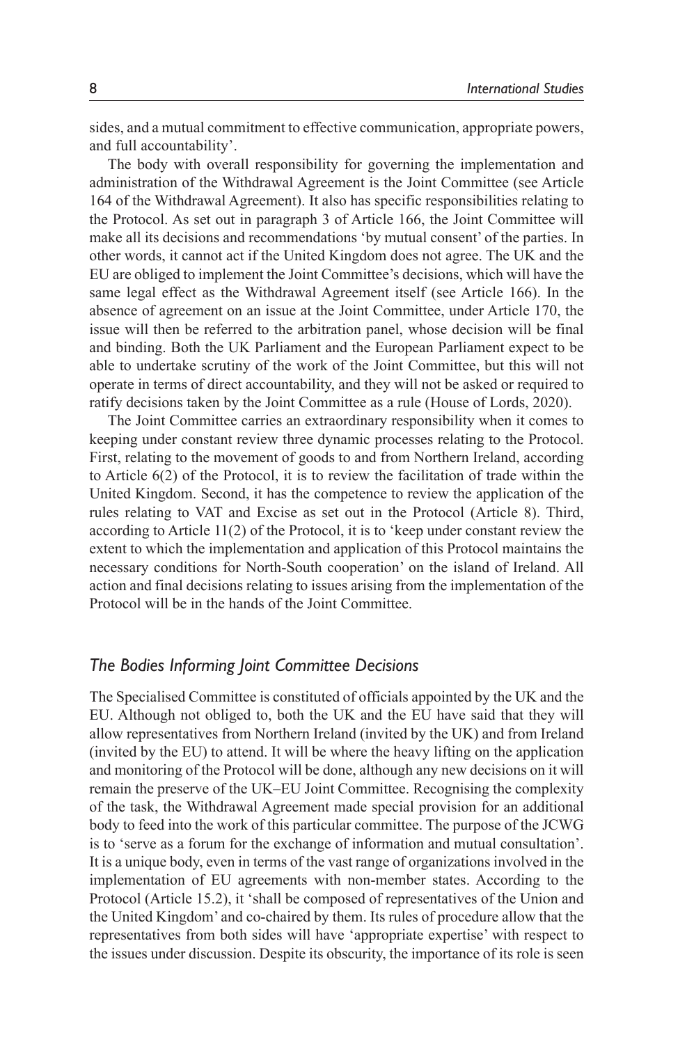sides, and a mutual commitment to effective communication, appropriate powers, and full accountability'.

The body with overall responsibility for governing the implementation and administration of the Withdrawal Agreement is the Joint Committee (see Article 164 of the Withdrawal Agreement). It also has specific responsibilities relating to the Protocol. As set out in paragraph 3 of Article 166, the Joint Committee will make all its decisions and recommendations 'by mutual consent' of the parties. In other words, it cannot act if the United Kingdom does not agree. The UK and the EU are obliged to implement the Joint Committee's decisions, which will have the same legal effect as the Withdrawal Agreement itself (see Article 166). In the absence of agreement on an issue at the Joint Committee, under Article 170, the issue will then be referred to the arbitration panel, whose decision will be final and binding. Both the UK Parliament and the European Parliament expect to be able to undertake scrutiny of the work of the Joint Committee, but this will not operate in terms of direct accountability, and they will not be asked or required to ratify decisions taken by the Joint Committee as a rule (House of Lords, 2020).

The Joint Committee carries an extraordinary responsibility when it comes to keeping under constant review three dynamic processes relating to the Protocol. First, relating to the movement of goods to and from Northern Ireland, according to Article 6(2) of the Protocol, it is to review the facilitation of trade within the United Kingdom. Second, it has the competence to review the application of the rules relating to VAT and Excise as set out in the Protocol (Article 8). Third, according to Article 11(2) of the Protocol, it is to 'keep under constant review the extent to which the implementation and application of this Protocol maintains the necessary conditions for North-South cooperation' on the island of Ireland. All action and final decisions relating to issues arising from the implementation of the Protocol will be in the hands of the Joint Committee.

#### *The Bodies Informing Joint Committee Decisions*

The Specialised Committee is constituted of officials appointed by the UK and the EU. Although not obliged to, both the UK and the EU have said that they will allow representatives from Northern Ireland (invited by the UK) and from Ireland (invited by the EU) to attend. It will be where the heavy lifting on the application and monitoring of the Protocol will be done, although any new decisions on it will remain the preserve of the UK–EU Joint Committee. Recognising the complexity of the task, the Withdrawal Agreement made special provision for an additional body to feed into the work of this particular committee. The purpose of the JCWG is to 'serve as a forum for the exchange of information and mutual consultation'. It is a unique body, even in terms of the vast range of organizations involved in the implementation of EU agreements with non-member states. According to the Protocol (Article 15.2), it 'shall be composed of representatives of the Union and the United Kingdom' and co-chaired by them. Its rules of procedure allow that the representatives from both sides will have 'appropriate expertise' with respect to the issues under discussion. Despite its obscurity, the importance of its role is seen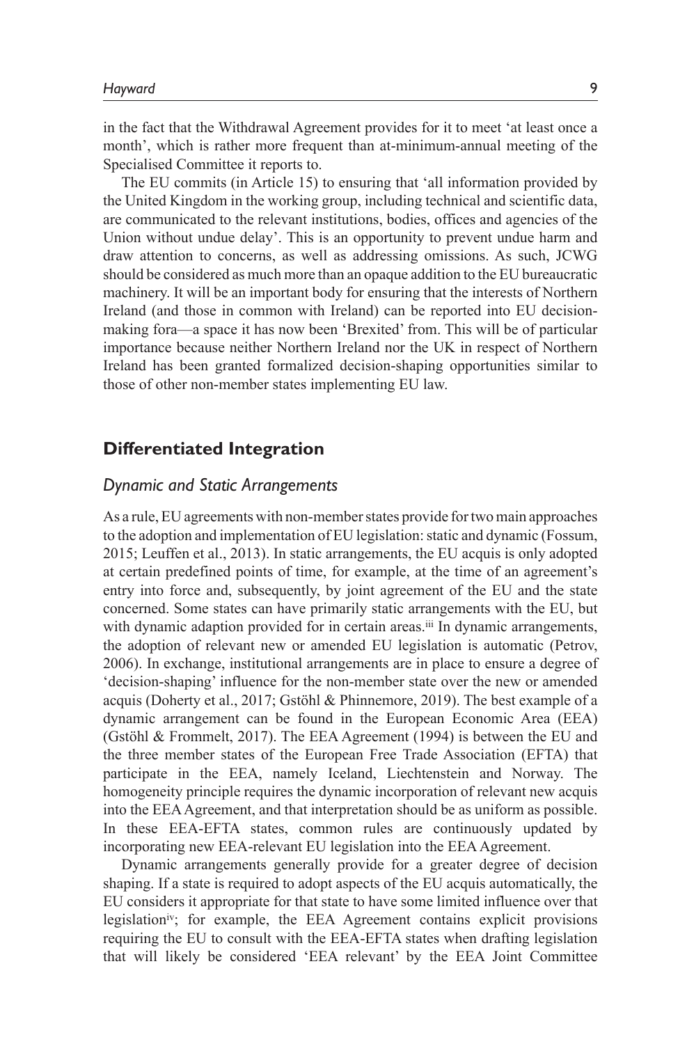in the fact that the Withdrawal Agreement provides for it to meet 'at least once a month', which is rather more frequent than at-minimum-annual meeting of the Specialised Committee it reports to.

The EU commits (in Article 15) to ensuring that 'all information provided by the United Kingdom in the working group, including technical and scientific data, are communicated to the relevant institutions, bodies, offices and agencies of the Union without undue delay'. This is an opportunity to prevent undue harm and draw attention to concerns, as well as addressing omissions. As such, JCWG should be considered as much more than an opaque addition to the EU bureaucratic machinery. It will be an important body for ensuring that the interests of Northern Ireland (and those in common with Ireland) can be reported into EU decisionmaking fora—a space it has now been 'Brexited' from. This will be of particular importance because neither Northern Ireland nor the UK in respect of Northern Ireland has been granted formalized decision-shaping opportunities similar to those of other non-member states implementing EU law.

### **Differentiated Integration**

#### *Dynamic and Static Arrangements*

As a rule, EU agreements with non-member states provide for two main approaches to the adoption and implementation of EU legislation: static and dynamic (Fossum, 2015; Leuffen et al., 2013). In static arrangements, the EU acquis is only adopted at certain predefined points of time, for example, at the time of an agreement's entry into force and, subsequently, by joint agreement of the EU and the state concerned. Some states can have primarily static arrangements with the EU, but with dynamic adaption provided for in certain areas.<sup>iii</sup> In dynamic arrangements, the adoption of relevant new or amended EU legislation is automatic (Petrov, 2006). In exchange, institutional arrangements are in place to ensure a degree of 'decision-shaping' influence for the non-member state over the new or amended acquis (Doherty et al., 2017; Gstöhl & Phinnemore, 2019). The best example of a dynamic arrangement can be found in the European Economic Area (EEA) (Gstöhl & Frommelt, 2017). The EEA Agreement (1994) is between the EU and the three member states of the European Free Trade Association (EFTA) that participate in the EEA, namely Iceland, Liechtenstein and Norway. The homogeneity principle requires the dynamic incorporation of relevant new acquis into the EEA Agreement, and that interpretation should be as uniform as possible. In these EEA-EFTA states, common rules are continuously updated by incorporating new EEA-relevant EU legislation into the EEA Agreement.

Dynamic arrangements generally provide for a greater degree of decision shaping. If a state is required to adopt aspects of the EU acquis automatically, the EU considers it appropriate for that state to have some limited influence over that legislationiv; for example, the EEA Agreement contains explicit provisions requiring the EU to consult with the EEA-EFTA states when drafting legislation that will likely be considered 'EEA relevant' by the EEA Joint Committee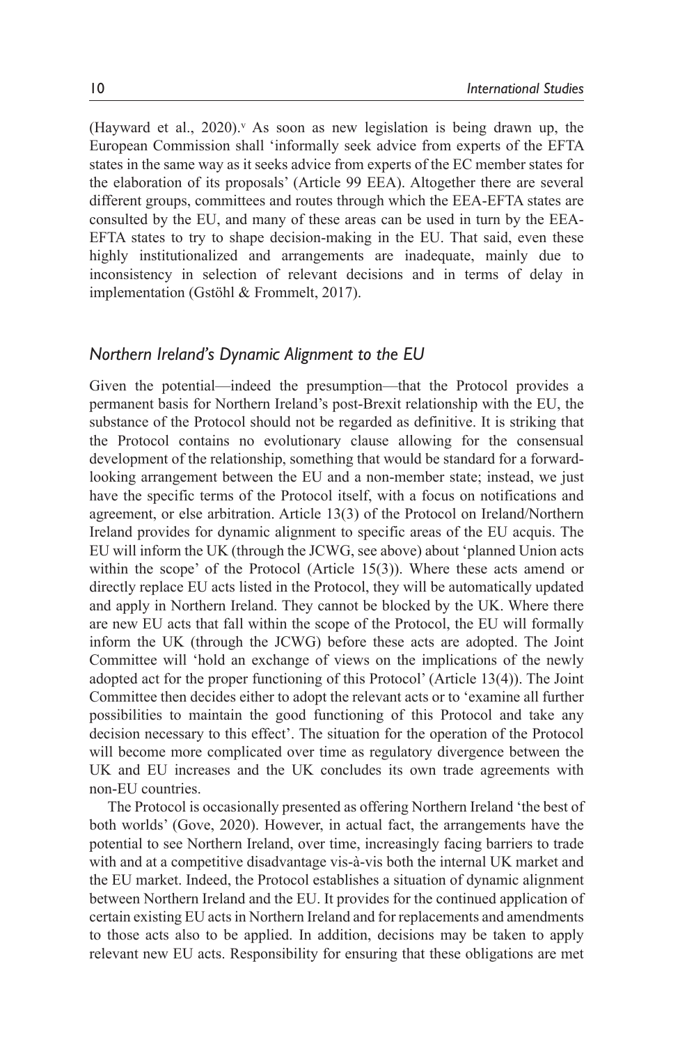(Hayward et al., 2020).<sup> $\vee$ </sup> As soon as new legislation is being drawn up, the European Commission shall 'informally seek advice from experts of the EFTA states in the same way as it seeks advice from experts of the EC member states for the elaboration of its proposals' (Article 99 EEA). Altogether there are several different groups, committees and routes through which the EEA-EFTA states are consulted by the EU, and many of these areas can be used in turn by the EEA-EFTA states to try to shape decision-making in the EU. That said, even these highly institutionalized and arrangements are inadequate, mainly due to inconsistency in selection of relevant decisions and in terms of delay in implementation (Gstöhl & Frommelt, 2017).

#### *Northern Ireland's Dynamic Alignment to the EU*

Given the potential—indeed the presumption—that the Protocol provides a permanent basis for Northern Ireland's post-Brexit relationship with the EU, the substance of the Protocol should not be regarded as definitive. It is striking that the Protocol contains no evolutionary clause allowing for the consensual development of the relationship, something that would be standard for a forwardlooking arrangement between the EU and a non-member state; instead, we just have the specific terms of the Protocol itself, with a focus on notifications and agreement, or else arbitration. Article 13(3) of the Protocol on Ireland/Northern Ireland provides for dynamic alignment to specific areas of the EU acquis. The EU will inform the UK (through the JCWG, see above) about 'planned Union acts within the scope' of the Protocol (Article 15(3)). Where these acts amend or directly replace EU acts listed in the Protocol, they will be automatically updated and apply in Northern Ireland. They cannot be blocked by the UK. Where there are new EU acts that fall within the scope of the Protocol, the EU will formally inform the UK (through the JCWG) before these acts are adopted. The Joint Committee will 'hold an exchange of views on the implications of the newly adopted act for the proper functioning of this Protocol' (Article 13(4)). The Joint Committee then decides either to adopt the relevant acts or to 'examine all further possibilities to maintain the good functioning of this Protocol and take any decision necessary to this effect'. The situation for the operation of the Protocol will become more complicated over time as regulatory divergence between the UK and EU increases and the UK concludes its own trade agreements with non-EU countries.

The Protocol is occasionally presented as offering Northern Ireland 'the best of both worlds' (Gove, 2020). However, in actual fact, the arrangements have the potential to see Northern Ireland, over time, increasingly facing barriers to trade with and at a competitive disadvantage vis-à-vis both the internal UK market and the EU market. Indeed, the Protocol establishes a situation of dynamic alignment between Northern Ireland and the EU. It provides for the continued application of certain existing EU acts in Northern Ireland and for replacements and amendments to those acts also to be applied. In addition, decisions may be taken to apply relevant new EU acts. Responsibility for ensuring that these obligations are met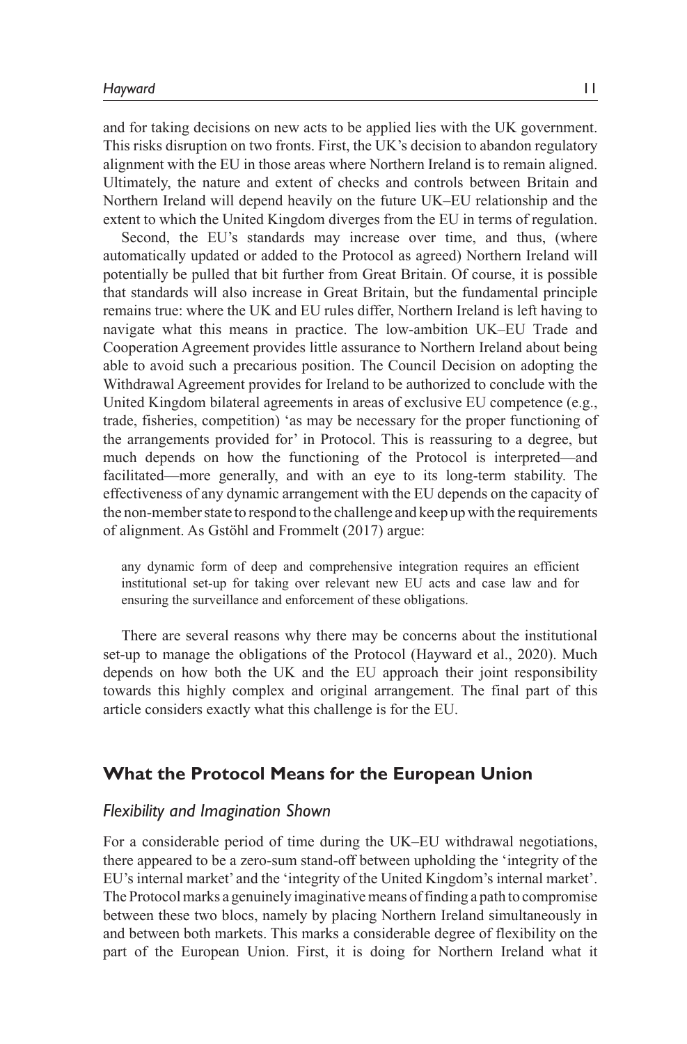and for taking decisions on new acts to be applied lies with the UK government. This risks disruption on two fronts. First, the UK's decision to abandon regulatory alignment with the EU in those areas where Northern Ireland is to remain aligned. Ultimately, the nature and extent of checks and controls between Britain and Northern Ireland will depend heavily on the future UK–EU relationship and the extent to which the United Kingdom diverges from the EU in terms of regulation.

Second, the EU's standards may increase over time, and thus, (where automatically updated or added to the Protocol as agreed) Northern Ireland will potentially be pulled that bit further from Great Britain. Of course, it is possible that standards will also increase in Great Britain, but the fundamental principle remains true: where the UK and EU rules differ, Northern Ireland is left having to navigate what this means in practice. The low-ambition UK–EU Trade and Cooperation Agreement provides little assurance to Northern Ireland about being able to avoid such a precarious position. The Council Decision on adopting the Withdrawal Agreement provides for Ireland to be authorized to conclude with the United Kingdom bilateral agreements in areas of exclusive EU competence (e.g., trade, fisheries, competition) 'as may be necessary for the proper functioning of the arrangements provided for' in Protocol. This is reassuring to a degree, but much depends on how the functioning of the Protocol is interpreted—and facilitated—more generally, and with an eye to its long-term stability. The effectiveness of any dynamic arrangement with the EU depends on the capacity of the non-member state to respond to the challenge and keep up with the requirements of alignment. As Gstöhl and Frommelt (2017) argue:

any dynamic form of deep and comprehensive integration requires an efficient institutional set-up for taking over relevant new EU acts and case law and for ensuring the surveillance and enforcement of these obligations.

There are several reasons why there may be concerns about the institutional set-up to manage the obligations of the Protocol (Hayward et al., 2020). Much depends on how both the UK and the EU approach their joint responsibility towards this highly complex and original arrangement. The final part of this article considers exactly what this challenge is for the EU.

### **What the Protocol Means for the European Union**

#### *Flexibility and Imagination Shown*

For a considerable period of time during the UK–EU withdrawal negotiations, there appeared to be a zero-sum stand-off between upholding the 'integrity of the EU's internal market' and the 'integrity of the United Kingdom's internal market'. The Protocol marks a genuinely imaginative means of finding a path to compromise between these two blocs, namely by placing Northern Ireland simultaneously in and between both markets. This marks a considerable degree of flexibility on the part of the European Union. First, it is doing for Northern Ireland what it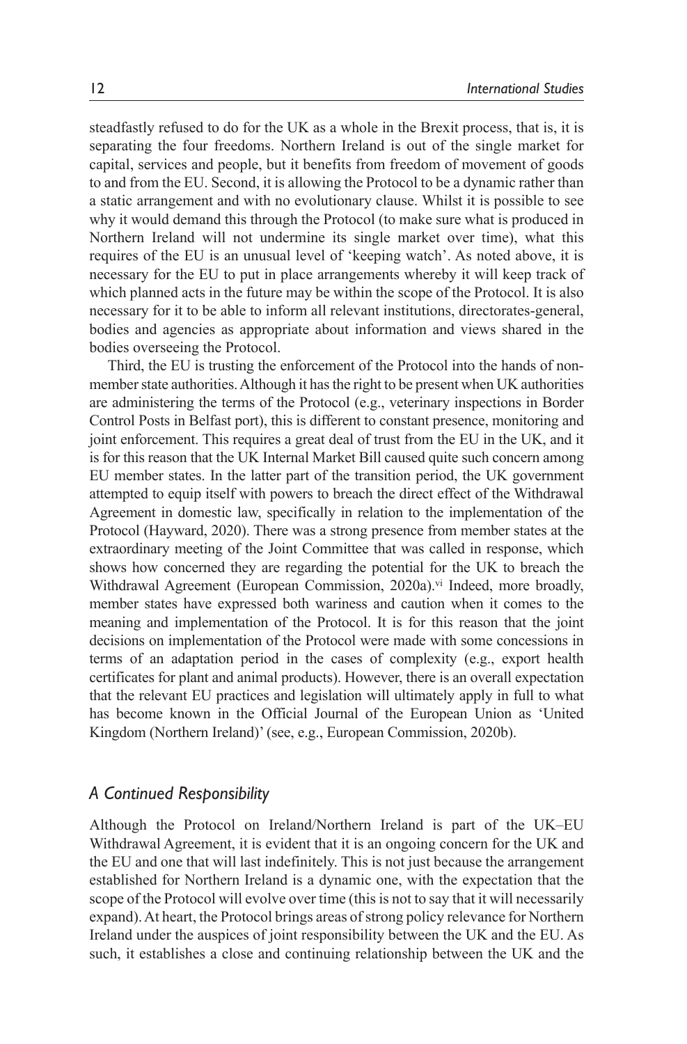steadfastly refused to do for the UK as a whole in the Brexit process, that is, it is separating the four freedoms. Northern Ireland is out of the single market for capital, services and people, but it benefits from freedom of movement of goods to and from the EU. Second, it is allowing the Protocol to be a dynamic rather than a static arrangement and with no evolutionary clause. Whilst it is possible to see why it would demand this through the Protocol (to make sure what is produced in Northern Ireland will not undermine its single market over time), what this requires of the EU is an unusual level of 'keeping watch'. As noted above, it is necessary for the EU to put in place arrangements whereby it will keep track of which planned acts in the future may be within the scope of the Protocol. It is also necessary for it to be able to inform all relevant institutions, directorates-general, bodies and agencies as appropriate about information and views shared in the bodies overseeing the Protocol.

Third, the EU is trusting the enforcement of the Protocol into the hands of nonmember state authorities. Although it has the right to be present when UK authorities are administering the terms of the Protocol (e.g., veterinary inspections in Border Control Posts in Belfast port), this is different to constant presence, monitoring and joint enforcement. This requires a great deal of trust from the EU in the UK, and it is for this reason that the UK Internal Market Bill caused quite such concern among EU member states. In the latter part of the transition period, the UK government attempted to equip itself with powers to breach the direct effect of the Withdrawal Agreement in domestic law, specifically in relation to the implementation of the Protocol (Hayward, 2020). There was a strong presence from member states at the extraordinary meeting of the Joint Committee that was called in response, which shows how concerned they are regarding the potential for the UK to breach the Withdrawal Agreement (European Commission, 2020a).<sup>vi</sup> Indeed, more broadly, member states have expressed both wariness and caution when it comes to the meaning and implementation of the Protocol. It is for this reason that the joint decisions on implementation of the Protocol were made with some concessions in terms of an adaptation period in the cases of complexity (e.g., export health certificates for plant and animal products). However, there is an overall expectation that the relevant EU practices and legislation will ultimately apply in full to what has become known in the Official Journal of the European Union as 'United Kingdom (Northern Ireland)' (see, e.g., European Commission, 2020b).

#### *A Continued Responsibility*

Although the Protocol on Ireland/Northern Ireland is part of the UK–EU Withdrawal Agreement, it is evident that it is an ongoing concern for the UK and the EU and one that will last indefinitely. This is not just because the arrangement established for Northern Ireland is a dynamic one, with the expectation that the scope of the Protocol will evolve over time (this is not to say that it will necessarily expand). At heart, the Protocol brings areas of strong policy relevance for Northern Ireland under the auspices of joint responsibility between the UK and the EU. As such, it establishes a close and continuing relationship between the UK and the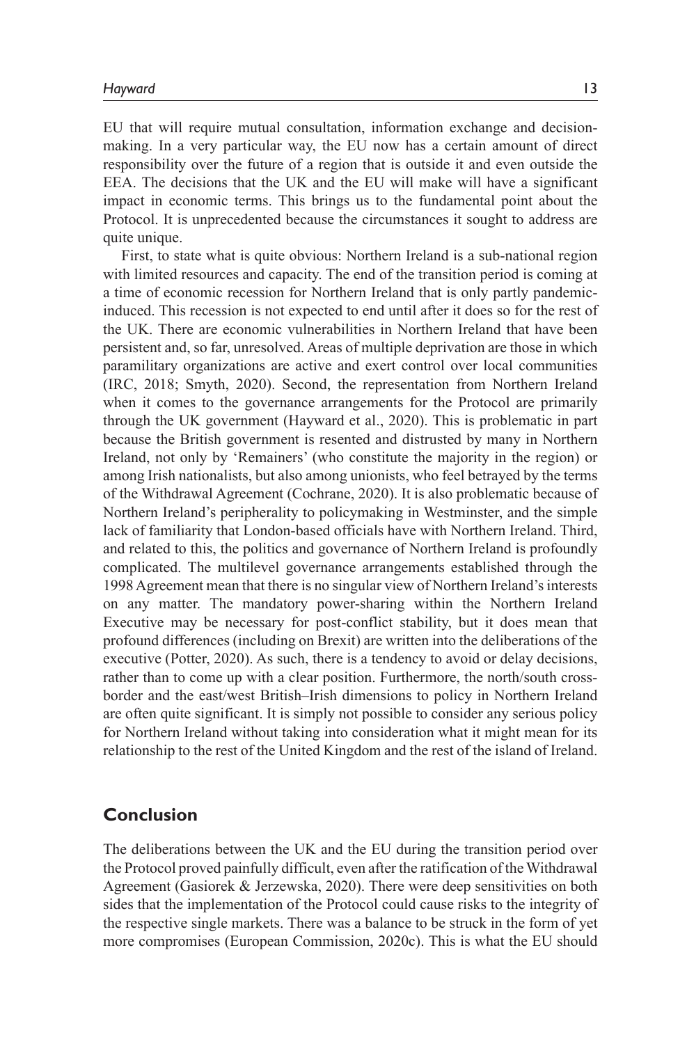EU that will require mutual consultation, information exchange and decisionmaking. In a very particular way, the EU now has a certain amount of direct responsibility over the future of a region that is outside it and even outside the EEA. The decisions that the UK and the EU will make will have a significant impact in economic terms. This brings us to the fundamental point about the Protocol. It is unprecedented because the circumstances it sought to address are quite unique.

First, to state what is quite obvious: Northern Ireland is a sub-national region with limited resources and capacity. The end of the transition period is coming at a time of economic recession for Northern Ireland that is only partly pandemicinduced. This recession is not expected to end until after it does so for the rest of the UK. There are economic vulnerabilities in Northern Ireland that have been persistent and, so far, unresolved. Areas of multiple deprivation are those in which paramilitary organizations are active and exert control over local communities (IRC, 2018; Smyth, 2020). Second, the representation from Northern Ireland when it comes to the governance arrangements for the Protocol are primarily through the UK government (Hayward et al., 2020). This is problematic in part because the British government is resented and distrusted by many in Northern Ireland, not only by 'Remainers' (who constitute the majority in the region) or among Irish nationalists, but also among unionists, who feel betrayed by the terms of the Withdrawal Agreement (Cochrane, 2020). It is also problematic because of Northern Ireland's peripherality to policymaking in Westminster, and the simple lack of familiarity that London-based officials have with Northern Ireland. Third, and related to this, the politics and governance of Northern Ireland is profoundly complicated. The multilevel governance arrangements established through the 1998 Agreement mean that there is no singular view of Northern Ireland's interests on any matter. The mandatory power-sharing within the Northern Ireland Executive may be necessary for post-conflict stability, but it does mean that profound differences (including on Brexit) are written into the deliberations of the executive (Potter, 2020). As such, there is a tendency to avoid or delay decisions, rather than to come up with a clear position. Furthermore, the north/south crossborder and the east/west British–Irish dimensions to policy in Northern Ireland are often quite significant. It is simply not possible to consider any serious policy for Northern Ireland without taking into consideration what it might mean for its relationship to the rest of the United Kingdom and the rest of the island of Ireland.

### **Conclusion**

The deliberations between the UK and the EU during the transition period over the Protocol proved painfully difficult, even after the ratification of the Withdrawal Agreement (Gasiorek & Jerzewska, 2020). There were deep sensitivities on both sides that the implementation of the Protocol could cause risks to the integrity of the respective single markets. There was a balance to be struck in the form of yet more compromises (European Commission, 2020c). This is what the EU should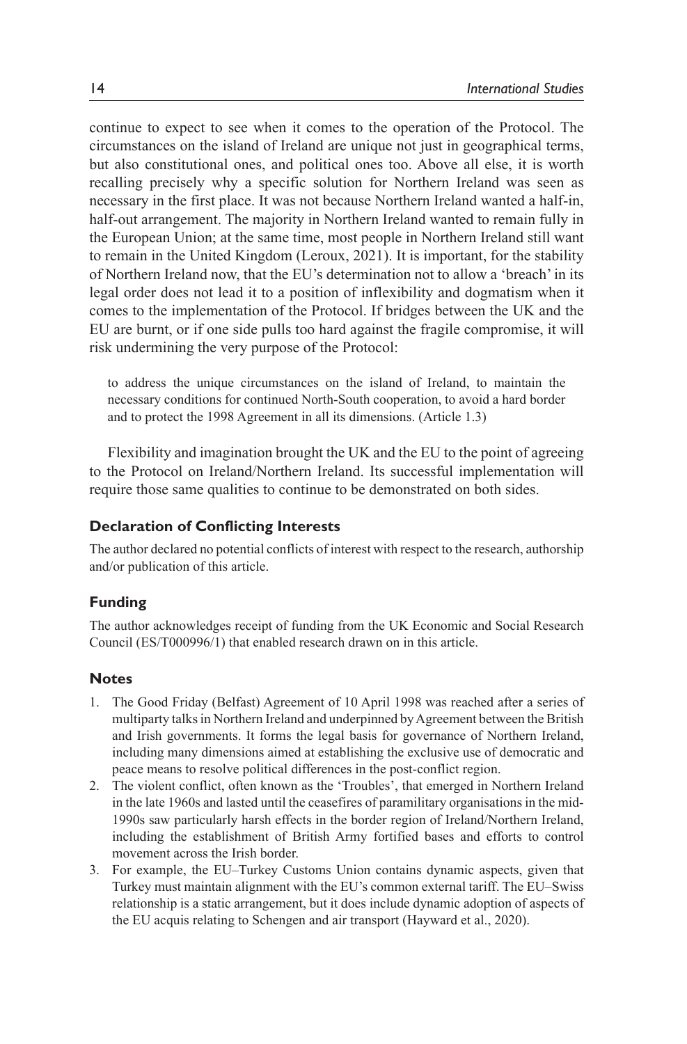continue to expect to see when it comes to the operation of the Protocol. The circumstances on the island of Ireland are unique not just in geographical terms, but also constitutional ones, and political ones too. Above all else, it is worth recalling precisely why a specific solution for Northern Ireland was seen as necessary in the first place. It was not because Northern Ireland wanted a half-in, half-out arrangement. The majority in Northern Ireland wanted to remain fully in the European Union; at the same time, most people in Northern Ireland still want to remain in the United Kingdom (Leroux, 2021). It is important, for the stability of Northern Ireland now, that the EU's determination not to allow a 'breach' in its legal order does not lead it to a position of inflexibility and dogmatism when it comes to the implementation of the Protocol. If bridges between the UK and the EU are burnt, or if one side pulls too hard against the fragile compromise, it will risk undermining the very purpose of the Protocol:

to address the unique circumstances on the island of Ireland, to maintain the necessary conditions for continued North-South cooperation, to avoid a hard border and to protect the 1998 Agreement in all its dimensions. (Article 1.3)

Flexibility and imagination brought the UK and the EU to the point of agreeing to the Protocol on Ireland/Northern Ireland. Its successful implementation will require those same qualities to continue to be demonstrated on both sides.

#### **Declaration of Conflicting Interests**

The author declared no potential conflicts of interest with respect to the research, authorship and/or publication of this article.

#### **Funding**

The author acknowledges receipt of funding from the UK Economic and Social Research Council (ES/T000996/1) that enabled research drawn on in this article.

#### **Notes**

- 1. The Good Friday (Belfast) Agreement of 10 April 1998 was reached after a series of multiparty talks in Northern Ireland and underpinned by Agreement between the British and Irish governments. It forms the legal basis for governance of Northern Ireland, including many dimensions aimed at establishing the exclusive use of democratic and peace means to resolve political differences in the post-conflict region.
- 2. The violent conflict, often known as the 'Troubles', that emerged in Northern Ireland in the late 1960s and lasted until the ceasefires of paramilitary organisations in the mid-1990s saw particularly harsh effects in the border region of Ireland/Northern Ireland, including the establishment of British Army fortified bases and efforts to control movement across the Irish border.
- 3. For example, the EU–Turkey Customs Union contains dynamic aspects, given that Turkey must maintain alignment with the EU's common external tariff. The EU–Swiss relationship is a static arrangement, but it does include dynamic adoption of aspects of the EU acquis relating to Schengen and air transport (Hayward et al., 2020).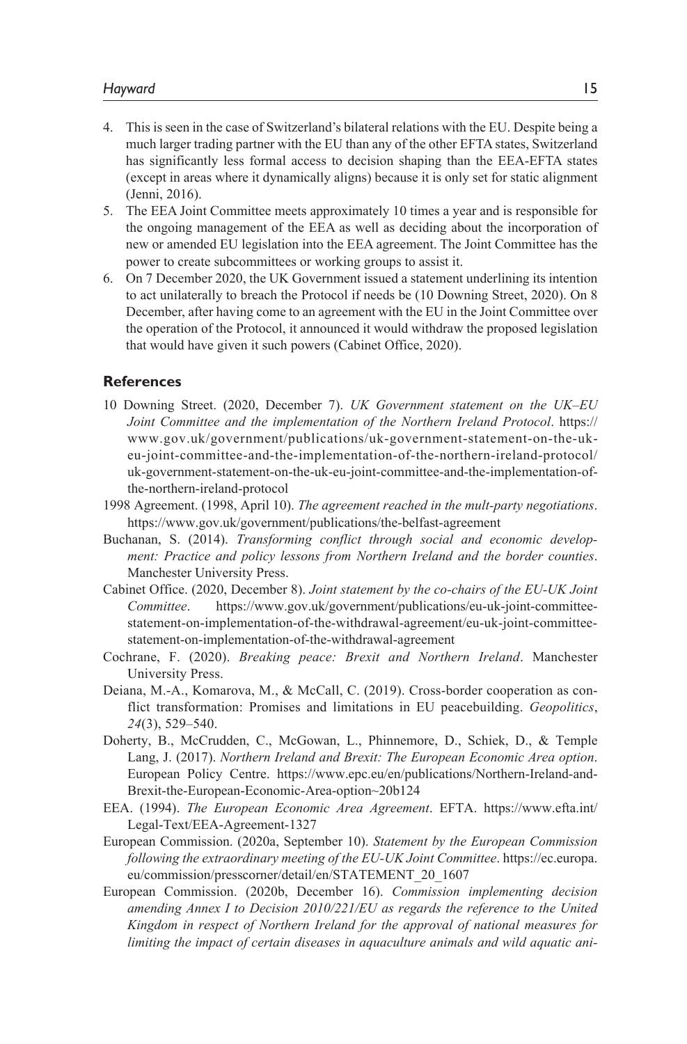- 4. This is seen in the case of Switzerland's bilateral relations with the EU. Despite being a much larger trading partner with the EU than any of the other EFTA states, Switzerland has significantly less formal access to decision shaping than the EEA-EFTA states (except in areas where it dynamically aligns) because it is only set for static alignment (Jenni, 2016).
- 5. The EEA Joint Committee meets approximately 10 times a year and is responsible for the ongoing management of the EEA as well as deciding about the incorporation of new or amended EU legislation into the EEA agreement. The Joint Committee has the power to create subcommittees or working groups to assist it.
- 6. On 7 December 2020, the UK Government issued a statement underlining its intention to act unilaterally to breach the Protocol if needs be (10 Downing Street, 2020). On 8 December, after having come to an agreement with the EU in the Joint Committee over the operation of the Protocol, it announced it would withdraw the proposed legislation that would have given it such powers (Cabinet Office, 2020).

#### **References**

- 10 Downing Street. (2020, December 7). *UK Government statement on the UK–EU Joint Committee and the implementation of the Northern Ireland Protocol*. https:// www.gov.uk/government/publications/uk-government-statement-on-the-ukeu-joint-committee-and-the-implementation-of-the-northern-ireland-protocol/ uk-government-statement-on-the-uk-eu-joint-committee-and-the-implementation-ofthe-northern-ireland-protocol
- 1998 Agreement. (1998, April 10). *The agreement reached in the mult-party negotiations*. https://www.gov.uk/government/publications/the-belfast-agreement
- Buchanan, S. (2014). *Transforming conflict through social and economic development: Practice and policy lessons from Northern Ireland and the border counties*. Manchester University Press.
- Cabinet Office. (2020, December 8). *Joint statement by the co-chairs of the EU-UK Joint Committee*. https://www.gov.uk/government/publications/eu-uk-joint-committeestatement-on-implementation-of-the-withdrawal-agreement/eu-uk-joint-committeestatement-on-implementation-of-the-withdrawal-agreement
- Cochrane, F. (2020). *Breaking peace: Brexit and Northern Ireland*. Manchester University Press.
- Deiana, M.-A., Komarova, M., & McCall, C. (2019). Cross-border cooperation as conflict transformation: Promises and limitations in EU peacebuilding. *Geopolitics*, *24*(3), 529–540.
- Doherty, B., McCrudden, C., McGowan, L., Phinnemore, D., Schiek, D., & Temple Lang, J. (2017). *Northern Ireland and Brexit: The European Economic Area option*. European Policy Centre. https://www.epc.eu/en/publications/Northern-Ireland-and-Brexit-the-European-Economic-Area-option~20b124
- EEA. (1994). *The European Economic Area Agreement*. EFTA. https://www.efta.int/ Legal-Text/EEA-Agreement-1327
- European Commission. (2020a, September 10). *Statement by the European Commission following the extraordinary meeting of the EU-UK Joint Committee*. https://ec.europa. eu/commission/presscorner/detail/en/STATEMENT\_20\_1607
- European Commission. (2020b, December 16). *Commission implementing decision*  amending Annex I to Decision 2010/221/EU as regards the reference to the United *Kingdom in respect of Northern Ireland for the approval of national measures for limiting the impact of certain diseases in aquaculture animals and wild aquatic ani-*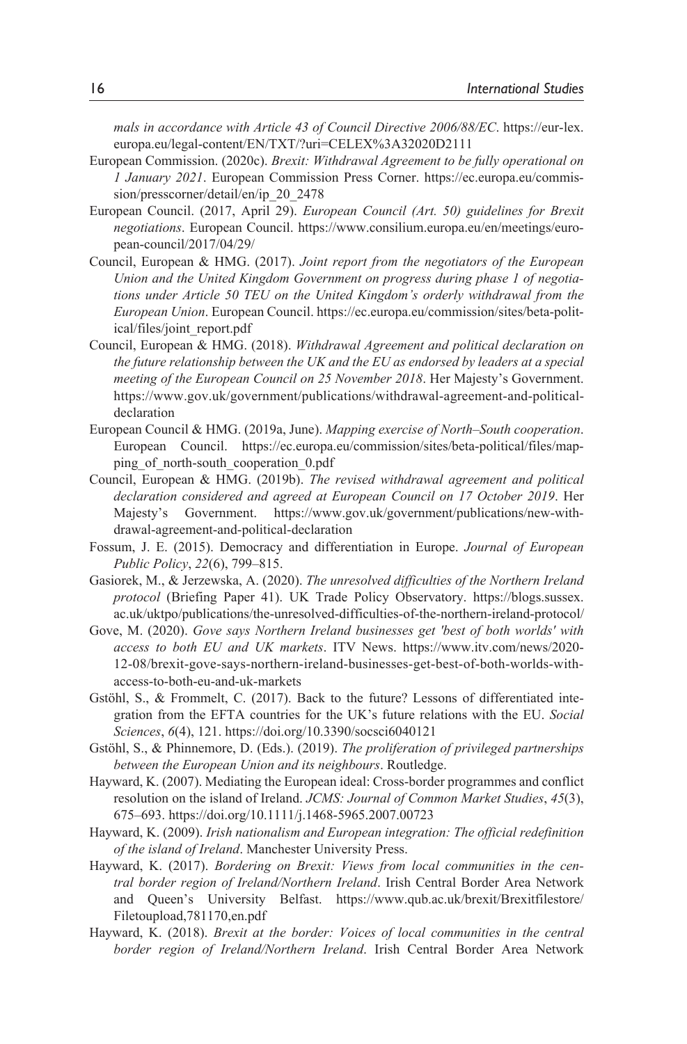*mals in accordance with Article 43 of Council Directive 2006/88/EC*. https://eur-lex. europa.eu/legal-content/EN/TXT/?uri=CELEX%3A32020D2111

- European Commission. (2020c). *Brexit: Withdrawal Agreement to be fully operational on 1 January 2021*. European Commission Press Corner. https://ec.europa.eu/commission/presscorner/detail/en/ip\_20\_2478
- European Council. (2017, April 29). *European Council (Art. 50) guidelines for Brexit negotiations*. European Council. https://www.consilium.europa.eu/en/meetings/european-council/2017/04/29/
- Council, European & HMG. (2017). *Joint report from the negotiators of the European Union and the United Kingdom Government on progress during phase 1 of negotiations under Article 50 TEU on the United Kingdom's orderly withdrawal from the European Union*. European Council. https://ec.europa.eu/commission/sites/beta-political/files/joint\_report.pdf
- Council, European & HMG. (2018). *Withdrawal Agreement and political declaration on the future relationship between the UK and the EU as endorsed by leaders at a special meeting of the European Council on 25 November 2018*. Her Majesty's Government. https://www.gov.uk/government/publications/withdrawal-agreement-and-politicaldeclaration
- European Council & HMG. (2019a, June). *Mapping exercise of North–South cooperation*. European Council. https://ec.europa.eu/commission/sites/beta-political/files/mapping of north-south cooperation 0.pdf
- Council, European & HMG. (2019b). *The revised withdrawal agreement and political declaration considered and agreed at European Council on 17 October 2019*. Her Majesty's Government. https://www.gov.uk/government/publications/new-withdrawal-agreement-and-political-declaration
- Fossum, J. E. (2015). Democracy and differentiation in Europe. *Journal of European Public Policy*, *22*(6), 799–815.
- Gasiorek, M., & Jerzewska, A. (2020). *The unresolved difficulties of the Northern Ireland protocol* (Briefing Paper 41). UK Trade Policy Observatory. https://blogs.sussex. ac.uk/uktpo/publications/the-unresolved-difficulties-of-the-northern-ireland-protocol/
- Gove, M. (2020). *Gove says Northern Ireland businesses get 'best of both worlds' with access to both EU and UK markets*. ITV News. https://www.itv.com/news/2020- 12-08/brexit-gove-says-northern-ireland-businesses-get-best-of-both-worlds-withaccess-to-both-eu-and-uk-markets
- Gstöhl, S., & Frommelt, C. (2017). Back to the future? Lessons of differentiated integration from the EFTA countries for the UK's future relations with the EU. *Social Sciences*, *6*(4), 121. https://doi.org/10.3390/socsci6040121
- Gstöhl, S., & Phinnemore, D. (Eds.). (2019). *The proliferation of privileged partnerships between the European Union and its neighbours*. Routledge.
- Hayward, K. (2007). Mediating the European ideal: Cross-border programmes and conflict resolution on the island of Ireland. *JCMS: Journal of Common Market Studies*, *45*(3), 675–693. https://doi.org/10.1111/j.1468-5965.2007.00723
- Hayward, K. (2009). *Irish nationalism and European integration: The official redefinition of the island of Ireland*. Manchester University Press.
- Hayward, K. (2017). *Bordering on Brexit: Views from local communities in the central border region of Ireland/Northern Ireland*. Irish Central Border Area Network and Queen's University Belfast. https://www.qub.ac.uk/brexit/Brexitfilestore/ Filetoupload,781170,en.pdf
- Hayward, K. (2018). *Brexit at the border: Voices of local communities in the central border region of Ireland/Northern Ireland*. Irish Central Border Area Network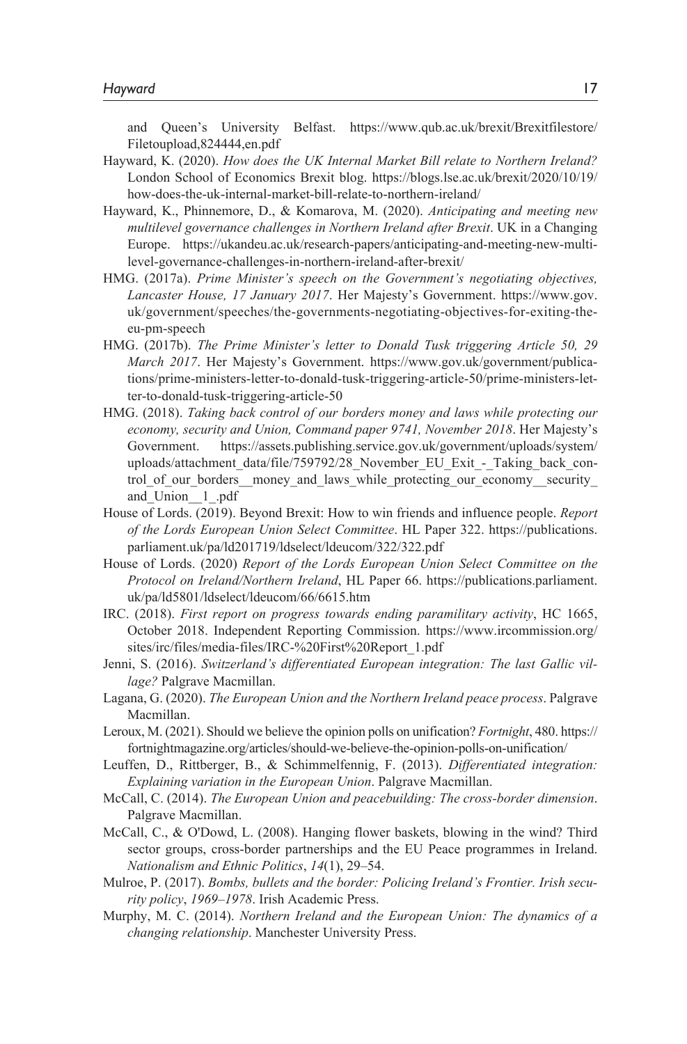and Queen's University Belfast. https://www.qub.ac.uk/brexit/Brexitfilestore/ Filetoupload,824444,en.pdf

- Hayward, K. (2020). *How does the UK Internal Market Bill relate to Northern Ireland?* London School of Economics Brexit blog. https://blogs.lse.ac.uk/brexit/2020/10/19/ how-does-the-uk-internal-market-bill-relate-to-northern-ireland/
- Hayward, K., Phinnemore, D., & Komarova, M. (2020). *Anticipating and meeting new multilevel governance challenges in Northern Ireland after Brexit*. UK in a Changing Europe. https://ukandeu.ac.uk/research-papers/anticipating-and-meeting-new-multilevel-governance-challenges-in-northern-ireland-after-brexit/
- HMG. (2017a). *Prime Minister's speech on the Government's negotiating objectives, Lancaster House, 17 January 2017*. Her Majesty's Government. https://www.gov. uk/government/speeches/the-governments-negotiating-objectives-for-exiting-theeu-pm-speech
- HMG. (2017b). *The Prime Minister's letter to Donald Tusk triggering Article 50, 29 March 2017*. Her Majesty's Government. https://www.gov.uk/government/publications/prime-ministers-letter-to-donald-tusk-triggering-article-50/prime-ministers-letter-to-donald-tusk-triggering-article-50
- HMG. (2018). *Taking back control of our borders money and laws while protecting our economy, security and Union, Command paper 9741, November 2018*. Her Majesty's Government. https://assets.publishing.service.gov.uk/government/uploads/system/ uploads/attachment\_data/file/759792/28\_November\_EU\_Exit\_-\_Taking\_back\_control\_of\_our\_borders\_\_money\_and\_laws\_while\_protecting\_our\_economy\_\_security\_ and\_Union\_\_1\_.pdf
- House of Lords. (2019). Beyond Brexit: How to win friends and influence people. *Report of the Lords European Union Select Committee*. HL Paper 322. https://publications. parliament.uk/pa/ld201719/ldselect/ldeucom/322/322.pdf
- House of Lords. (2020) *Report of the Lords European Union Select Committee on the Protocol on Ireland/Northern Ireland*, HL Paper 66. https://publications.parliament. uk/pa/ld5801/ldselect/ldeucom/66/6615.htm
- IRC. (2018). *First report on progress towards ending paramilitary activity*, HC 1665, October 2018. Independent Reporting Commission. https://www.ircommission.org/ sites/irc/files/media-files/IRC-%20First%20Report\_1.pdf
- Jenni, S. (2016). *Switzerland's differentiated European integration: The last Gallic village?* Palgrave Macmillan.
- Lagana, G. (2020). *The European Union and the Northern Ireland peace process*. Palgrave Macmillan.
- Leroux, M. (2021). Should we believe the opinion polls on unification? *Fortnight*, 480. https:// fortnightmagazine.org/articles/should-we-believe-the-opinion-polls-on-unification/
- Leuffen, D., Rittberger, B., & Schimmelfennig, F. (2013). *Differentiated integration: Explaining variation in the European Union*. Palgrave Macmillan.
- McCall, C. (2014). *The European Union and peacebuilding: The cross-border dimension*. Palgrave Macmillan.
- McCall, C., & O'Dowd, L. (2008). Hanging flower baskets, blowing in the wind? Third sector groups, cross-border partnerships and the EU Peace programmes in Ireland. *Nationalism and Ethnic Politics*, *14*(1), 29–54.
- Mulroe, P. (2017). *Bombs, bullets and the border: Policing Ireland's Frontier. Irish security policy*, *1969*–*1978*. Irish Academic Press.
- Murphy, M. C. (2014). *Northern Ireland and the European Union: The dynamics of a changing relationship*. Manchester University Press.